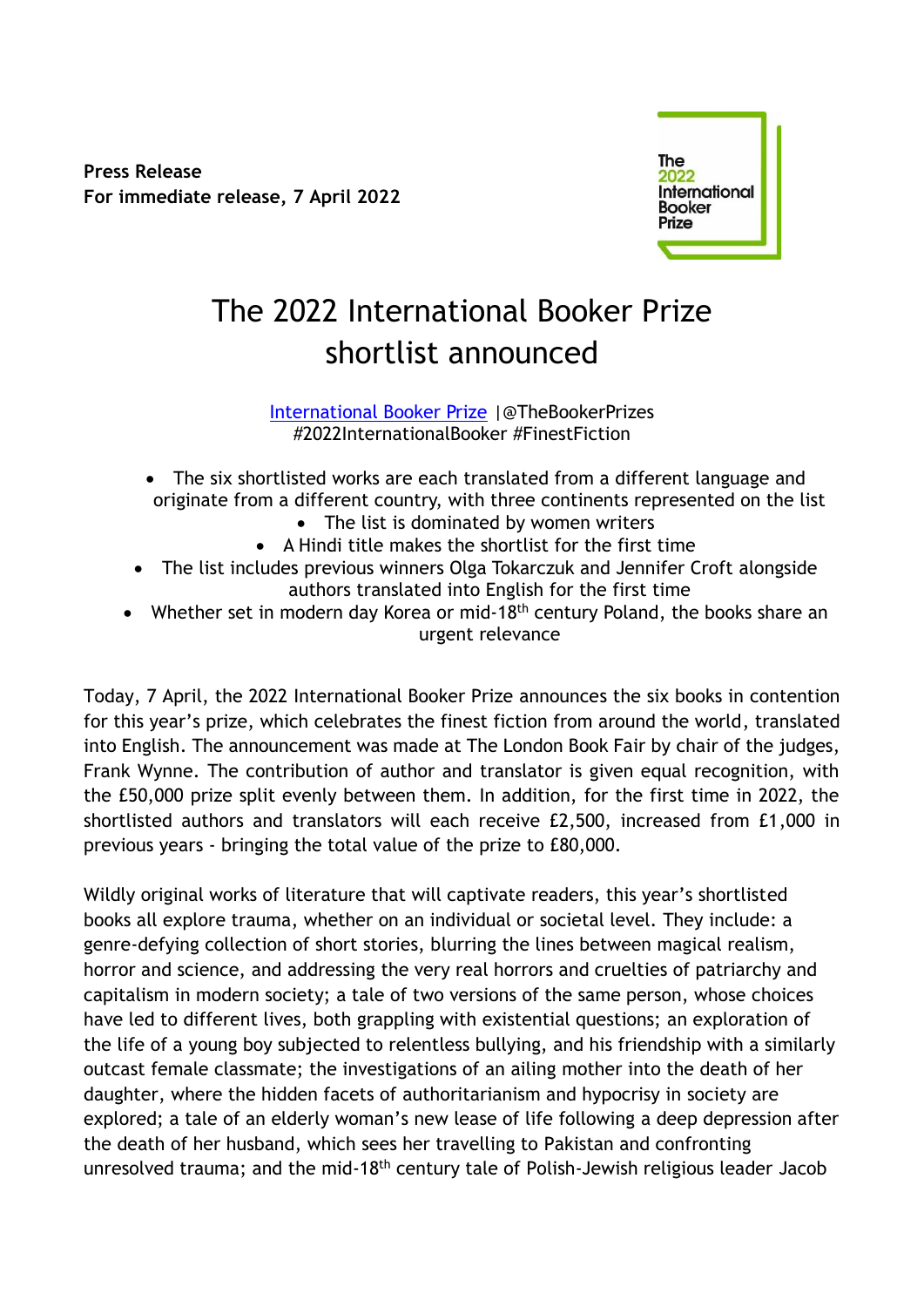**Press Release For immediate release, 7 April 2022**



# The 2022 International Booker Prize shortlist announced

[International Booker Prize](https://thebookerprizes.com/international-booker) |@TheBookerPrizes #2022InternationalBooker #FinestFiction

- The six shortlisted works are each translated from a different language and originate from a different country, with three continents represented on the list
	- The list is dominated by women writers
	- A Hindi title makes the shortlist for the first time
- The list includes previous winners Olga Tokarczuk and Jennifer Croft alongside authors translated into English for the first time
- Whether set in modern day Korea or mid-18<sup>th</sup> century Poland, the books share an urgent relevance

Today, 7 April, the 2022 International Booker Prize announces the six books in contention for this year's prize, which celebrates the finest fiction from around the world, translated into English. The announcement was made at The London Book Fair by chair of the judges, Frank Wynne. The contribution of author and translator is given equal recognition, with the £50,000 prize split evenly between them. In addition, for the first time in 2022, the shortlisted authors and translators will each receive £2,500, increased from £1,000 in previous years - bringing the total value of the prize to £80,000.

Wildly original works of literature that will captivate readers, this year's shortlisted books all explore trauma, whether on an individual or societal level. They include: a genre-defying collection of short stories, blurring the lines between magical realism, horror and science, and addressing the very real horrors and cruelties of patriarchy and capitalism in modern society; a tale of two versions of the same person, whose choices have led to different lives, both grappling with existential questions; an exploration of the life of a young boy subjected to relentless bullying, and his friendship with a similarly outcast female classmate; the investigations of an ailing mother into the death of her daughter, where the hidden facets of authoritarianism and hypocrisy in society are explored; a tale of an elderly woman's new lease of life following a deep depression after the death of her husband, which sees her travelling to Pakistan and confronting unresolved trauma; and the mid-18<sup>th</sup> century tale of Polish-Jewish religious leader Jacob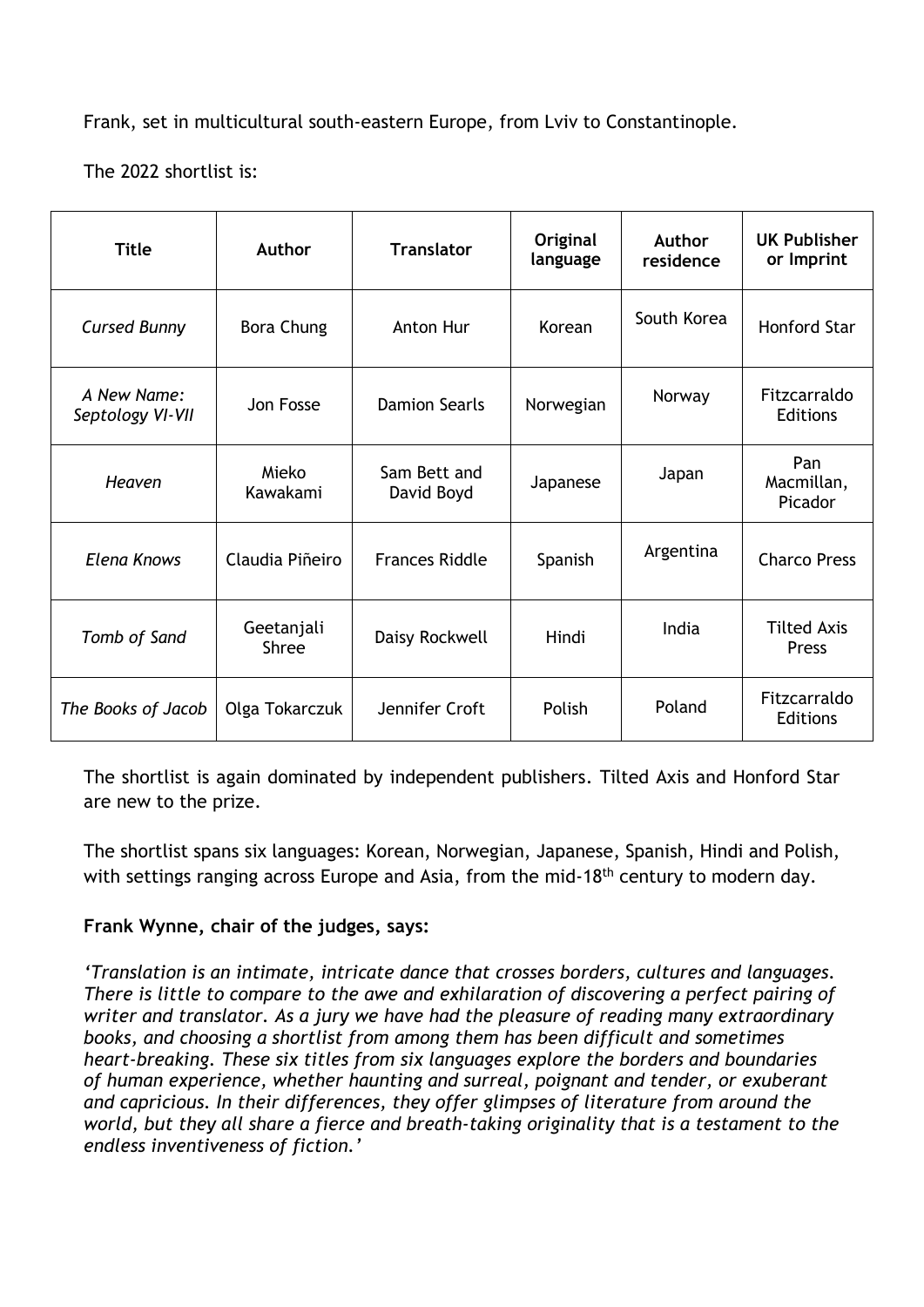Frank, set in multicultural south-eastern Europe, from Lviv to Constantinople.

The 2022 shortlist is:

| <b>Title</b>                    | <b>Author</b>              | <b>Translator</b>          | Original<br>language | <b>Author</b><br>residence | <b>UK Publisher</b><br>or Imprint |
|---------------------------------|----------------------------|----------------------------|----------------------|----------------------------|-----------------------------------|
| <b>Cursed Bunny</b>             | <b>Bora Chung</b>          | Anton Hur                  | Korean               | South Korea                | <b>Honford Star</b>               |
| A New Name:<br>Septology VI-VII | Jon Fosse                  | <b>Damion Searls</b>       | Norwegian            | Norway                     | Fitzcarraldo<br><b>Editions</b>   |
| <b>Heaven</b>                   | Mieko<br>Kawakami          | Sam Bett and<br>David Boyd | Japanese             | Japan                      | Pan<br>Macmillan,<br>Picador      |
| <b>Elena Knows</b>              | Claudia Piñeiro            | <b>Frances Riddle</b>      | Spanish              | Argentina                  | <b>Charco Press</b>               |
| Tomb of Sand                    | Geetanjali<br><b>Shree</b> | Daisy Rockwell             | Hindi                | India                      | <b>Tilted Axis</b><br>Press       |
| The Books of Jacob              | Olga Tokarczuk             | Jennifer Croft             | Polish               | Poland                     | Fitzcarraldo<br>Editions          |

The shortlist is again dominated by independent publishers. Tilted Axis and Honford Star are new to the prize.

The shortlist spans six languages: Korean, Norwegian, Japanese, Spanish, Hindi and Polish, with settings ranging across Europe and Asia, from the mid-18<sup>th</sup> century to modern day.

# **Frank Wynne, chair of the judges, says:**

*'Translation is an intimate, intricate dance that crosses borders, cultures and languages. There is little to compare to the awe and exhilaration of discovering a perfect pairing of writer and translator. As a jury we have had the pleasure of reading many extraordinary books, and choosing a shortlist from among them has been difficult and sometimes heart-breaking. These six titles from six languages explore the borders and boundaries of human experience, whether haunting and surreal, poignant and tender, or exuberant and capricious. In their differences, they offer glimpses of literature from around the world, but they all share a fierce and breath-taking originality that is a testament to the endless inventiveness of fiction.'*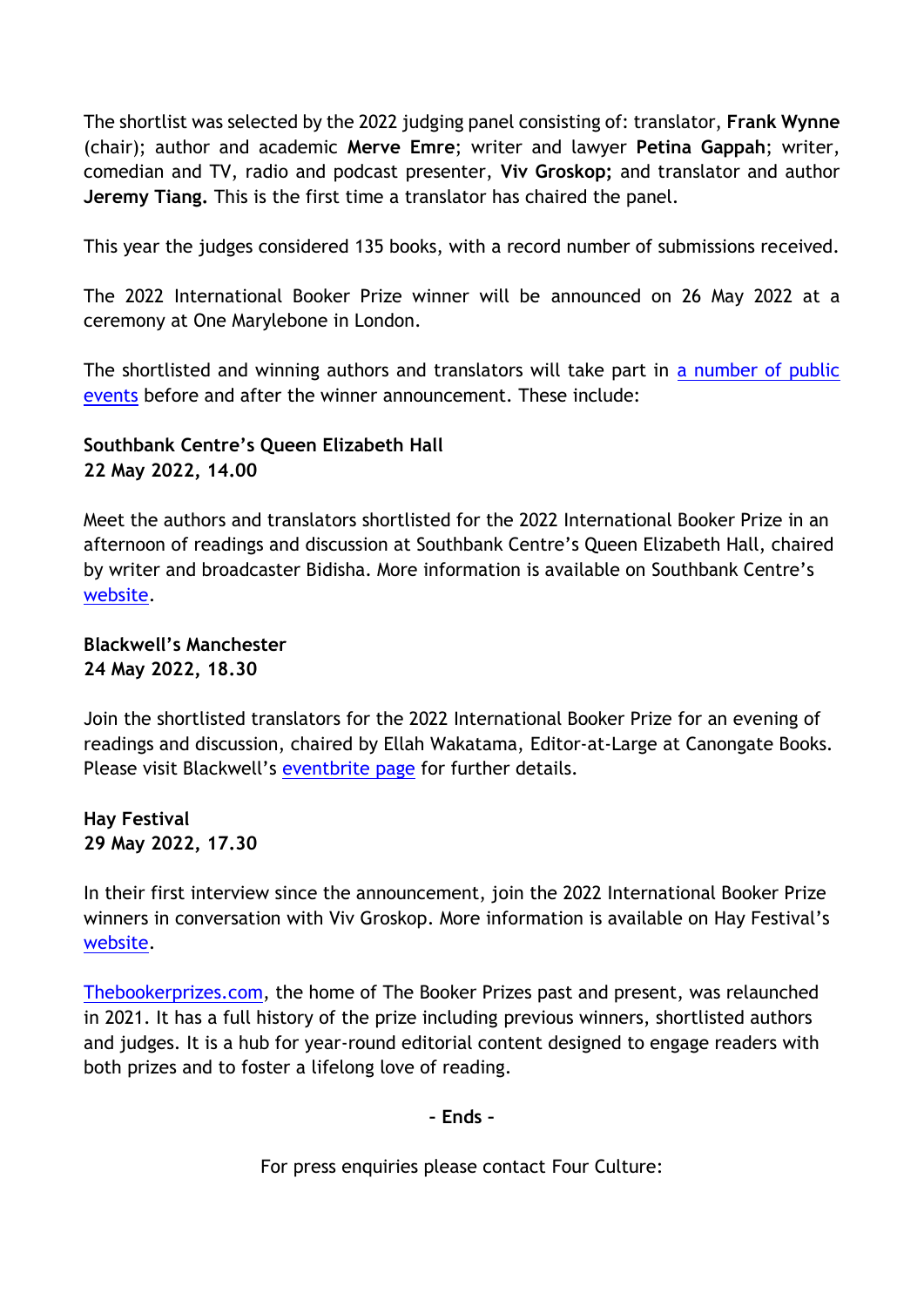The shortlist was selected by the 2022 judging panel consisting of: translator, **Frank Wynne**  (chair); author and academic **Merve Emre**; writer and lawyer **Petina Gappah**; writer, comedian and TV, radio and podcast presenter, **Viv Groskop;** and translator and author **Jeremy Tiang.** This is the first time a translator has chaired the panel.

This year the judges considered 135 books, with a record number of submissions received.

The 2022 International Booker Prize winner will be announced on 26 May 2022 at a ceremony at One Marylebone in London.

The shortlisted and winning authors and translators will take part in [a number of public](https://thebookerprizes.com/whats-on-and-dates-for-your-diary)  [events](https://thebookerprizes.com/whats-on-and-dates-for-your-diary) before and after the winner announcement. These include:

# **Southbank Centre's Queen Elizabeth Hall 22 May 2022, 14.00**

Meet the authors and translators shortlisted for the 2022 International Booker Prize in an afternoon of readings and discussion at Southbank Centre's Queen Elizabeth Hall, chaired by writer and broadcaster Bidisha. More information is available on Southbank Centre's [website.](https://www.southbankcentre.co.uk/whats-on/literature-poetry/international-booker-prize-shortlist-readings?eventId=904847)

**Blackwell's Manchester 24 May 2022, 18.30**

Join the shortlisted translators for the 2022 International Booker Prize for an evening of readings and discussion, chaired by Ellah Wakatama, Editor-at-Large at Canongate Books. Please visit Blackwell's [eventbrite page](https://www.eventbrite.co.uk/e/art-of-translation-international-booker-prize-translators-in-conversation-tickets-310621957637) for further details.

**Hay Festival 29 May 2022, 17.30**

In their first interview since the announcement, join the 2022 International Booker Prize winners in conversation with Viv Groskop. More information is available on Hay Festival's [website.](https://www.hayfestival.com/home)

[Thebookerprizes.com,](http://www.thebookerprizes.com/) the home of The Booker Prizes past and present, was relaunched in 2021. It has a full history of the prize including previous winners, shortlisted authors and judges. It is a hub for year-round editorial content designed to engage readers with both prizes and to foster a lifelong love of reading.

# **– Ends –**

For press enquiries please contact Four Culture: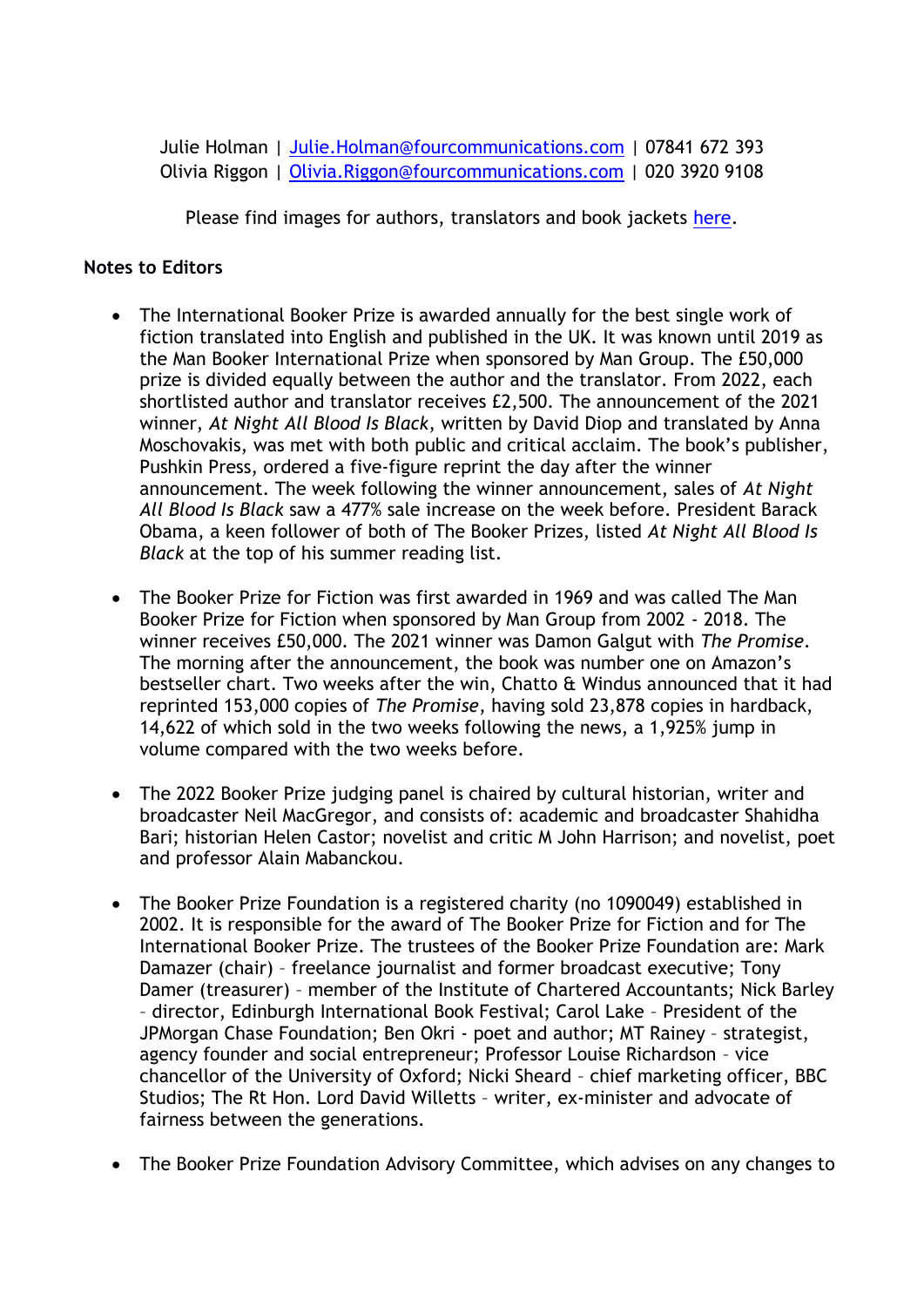Julie Holman | Julie. Holman@fourcommunications.com | 07841 672 393 Olivia Riggon | [Olivia.Riggon@fourcommunications.com](mailto:Olivia.Riggon@fourcommunications.com) | 020 3920 9108

Please find images for authors, translators and book jackets [here.](https://www.flickr.com/photos/themanbookerprizes/sets/)

# **Notes to Editors**

- The International Booker Prize is awarded annually for the best single work of fiction translated into English and published in the UK. It was known until 2019 as the Man Booker International Prize when sponsored by Man Group. The £50,000 prize is divided equally between the author and the translator. From 2022, each shortlisted author and translator receives £2,500. The announcement of the 2021 winner, *At Night All Blood Is Black*, written by David Diop and translated by Anna Moschovakis, was met with both public and critical acclaim. The book's publisher, Pushkin Press, ordered a five-figure reprint the day after the winner announcement. The week following the winner announcement, sales of *At Night All Blood Is Black* saw a 477% sale increase on the week before. President Barack Obama, a keen follower of both of The Booker Prizes, listed *At Night All Blood Is Black* at the top of his summer reading list.
- The Booker Prize for Fiction was first awarded in 1969 and was called The Man Booker Prize for Fiction when sponsored by Man Group from 2002 - 2018. The winner receives £50,000. The 2021 winner was Damon Galgut with *The Promise*. The morning after the announcement, the book was number one on Amazon's bestseller chart. Two weeks after the win, Chatto & Windus announced that it had reprinted 153,000 copies of *The Promise*, having sold 23,878 copies in hardback, 14,622 of which sold in the two weeks following the news, a 1,925% jump in volume compared with the two weeks before.
- The 2022 Booker Prize judging panel is chaired by cultural historian, writer and broadcaster Neil MacGregor, and consists of: academic and broadcaster Shahidha Bari; historian Helen Castor; novelist and critic M John Harrison; and novelist, poet and professor Alain Mabanckou.
- The Booker Prize Foundation is a registered charity (no 1090049) established in 2002. It is responsible for the award of The Booker Prize for Fiction and for The International Booker Prize. The trustees of the Booker Prize Foundation are: Mark Damazer (chair) – freelance journalist and former broadcast executive; Tony Damer (treasurer) – member of the Institute of Chartered Accountants; Nick Barley – director, Edinburgh International Book Festival; Carol Lake – President of the JPMorgan Chase Foundation; Ben Okri - poet and author; MT Rainey – strategist, agency founder and social entrepreneur; Professor Louise Richardson – vice chancellor of the University of Oxford; Nicki Sheard – chief marketing officer, BBC Studios; The Rt Hon. Lord David Willetts – writer, ex-minister and advocate of fairness between the generations.
- The Booker Prize Foundation Advisory Committee, which advises on any changes to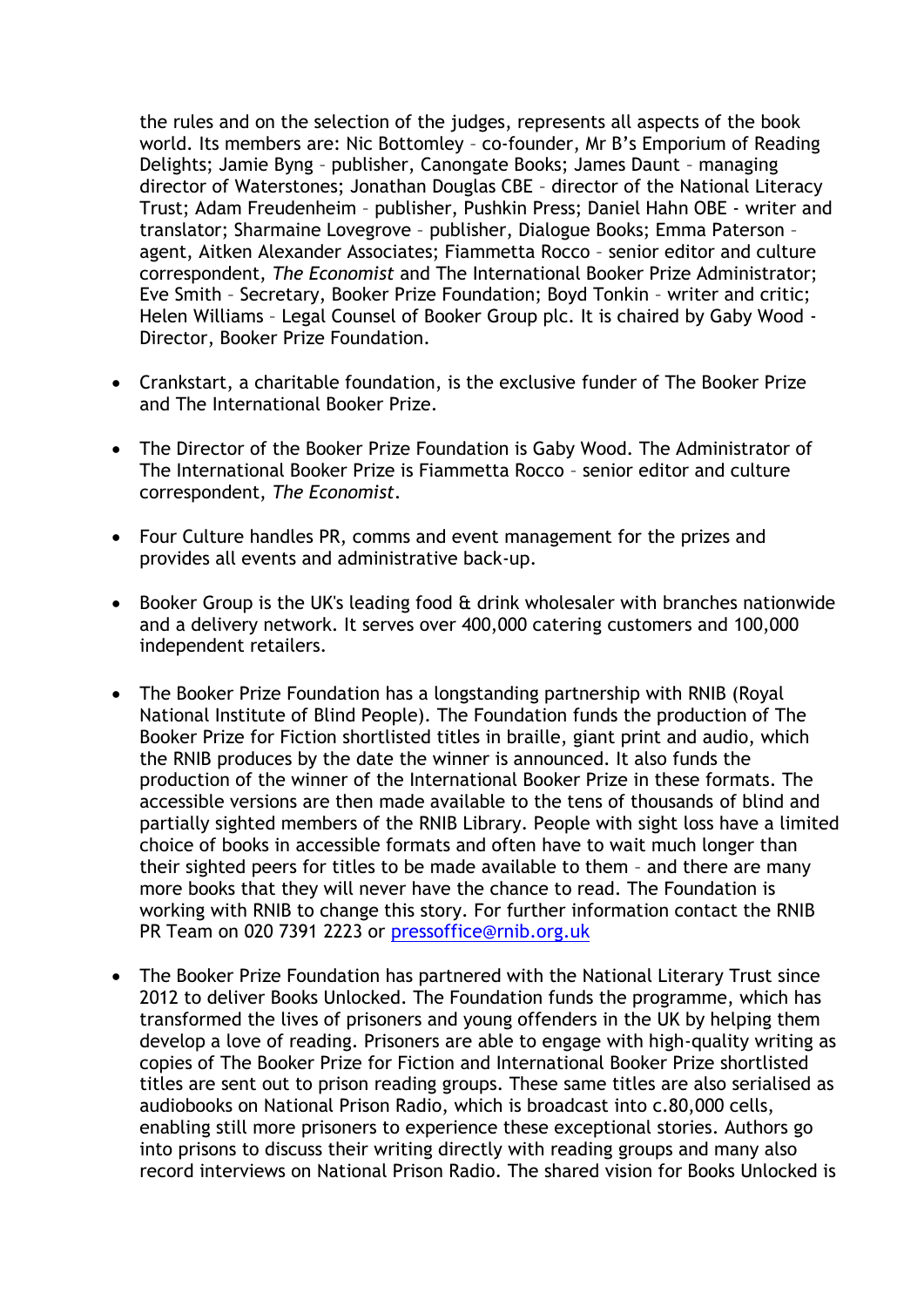the rules and on the selection of the judges, represents all aspects of the book world. Its members are: Nic Bottomley – co-founder, Mr B's Emporium of Reading Delights; Jamie Byng – publisher, Canongate Books; James Daunt – managing director of Waterstones; Jonathan Douglas CBE – director of the National Literacy Trust; Adam Freudenheim – publisher, Pushkin Press; Daniel Hahn OBE - writer and translator; Sharmaine Lovegrove – publisher, Dialogue Books; Emma Paterson – agent, Aitken Alexander Associates; Fiammetta Rocco – senior editor and culture correspondent, *The Economist* and The International Booker Prize Administrator; Eve Smith – Secretary, Booker Prize Foundation; Boyd Tonkin – writer and critic; Helen Williams – Legal Counsel of Booker Group plc. It is chaired by Gaby Wood - Director, Booker Prize Foundation.

- Crankstart, a charitable foundation, is the exclusive funder of The Booker Prize and The International Booker Prize.
- The Director of the Booker Prize Foundation is Gaby Wood. The Administrator of The International Booker Prize is Fiammetta Rocco – senior editor and culture correspondent, *The Economist*.
- Four Culture handles PR, comms and event management for the prizes and provides all events and administrative back-up.
- Booker Group is the UK's leading food & drink wholesaler with branches nationwide and a delivery network. It serves over 400,000 catering customers and 100,000 independent retailers.
- The Booker Prize Foundation has a longstanding partnership with RNIB (Royal National Institute of Blind People). The Foundation funds the production of The Booker Prize for Fiction shortlisted titles in braille, giant print and audio, which the RNIB produces by the date the winner is announced. It also funds the production of the winner of the International Booker Prize in these formats. The accessible versions are then made available to the tens of thousands of blind and partially sighted members of the RNIB Library. People with sight loss have a limited choice of books in accessible formats and often have to wait much longer than their sighted peers for titles to be made available to them – and there are many more books that they will never have the chance to read. The Foundation is working with RNIB to change this story. For further information contact the RNIB PR Team on 020 7391 2223 or pressoffice@rnib.org.uk
- The Booker Prize Foundation has partnered with the National Literary Trust since 2012 to deliver Books Unlocked. The Foundation funds the programme, which has transformed the lives of prisoners and young offenders in the UK by helping them develop a love of reading. Prisoners are able to engage with high-quality writing as copies of The Booker Prize for Fiction and International Booker Prize shortlisted titles are sent out to prison reading groups. These same titles are also serialised as audiobooks on National Prison Radio, which is broadcast into c.80,000 cells, enabling still more prisoners to experience these exceptional stories. Authors go into prisons to discuss their writing directly with reading groups and many also record interviews on National Prison Radio. The shared vision for Books Unlocked is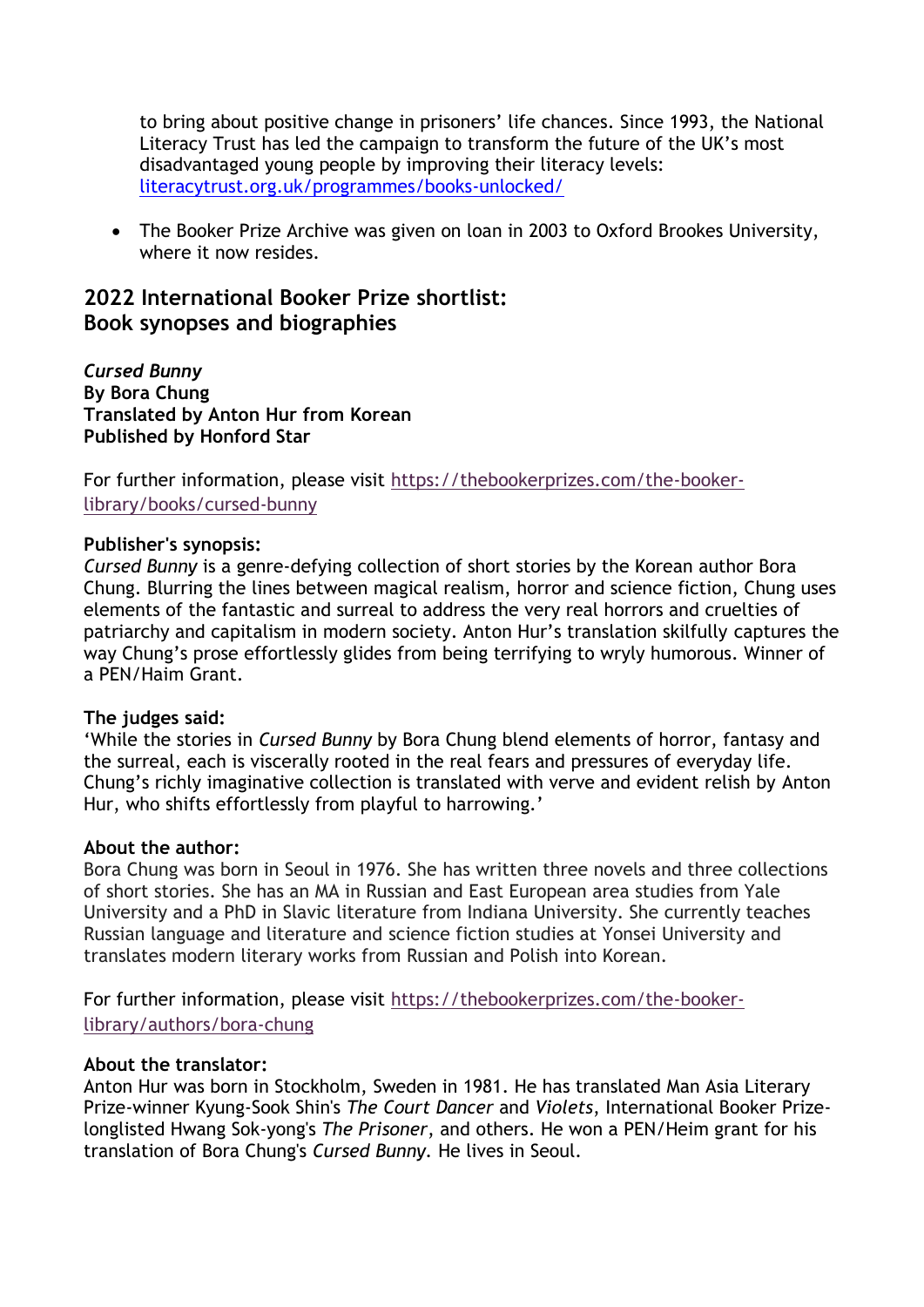to bring about positive change in prisoners' life chances. Since 1993, the National Literacy Trust has led the campaign to transform the future of the UK's most disadvantaged young people by improving their literacy levels: [literacytrust.org.uk/programmes/books-unlocked/](https://literacytrust.org.uk/programmes/books-unlocked/) 

 The Booker Prize Archive was given on loan in 2003 to Oxford Brookes University, where it now resides.

# **2022 International Booker Prize shortlist: Book synopses and biographies**

*Cursed Bunny* **By Bora Chung Translated by Anton Hur from Korean Published by Honford Star**

For further information, please visit [https://thebookerprizes.com/the-booker](https://thebookerprizes.com/the-booker-library/books/cursed-bunny)[library/books/cursed-bunny](https://thebookerprizes.com/the-booker-library/books/cursed-bunny)

# **Publisher's synopsis:**

*Cursed Bunny* is a genre-defying collection of short stories by the Korean author Bora Chung. Blurring the lines between magical realism, horror and science fiction, Chung uses elements of the fantastic and surreal to address the very real horrors and cruelties of patriarchy and capitalism in modern society. Anton Hur's translation skilfully captures the way Chung's prose effortlessly glides from being terrifying to wryly humorous. Winner of a PEN/Haim Grant.

#### **The judges said:**

'While the stories in *Cursed Bunny* by Bora Chung blend elements of horror, fantasy and the surreal, each is viscerally rooted in the real fears and pressures of everyday life. Chung's richly imaginative collection is translated with verve and evident relish by Anton Hur, who shifts effortlessly from playful to harrowing.'

#### **About the author:**

Bora Chung was born in Seoul in 1976. She has written three novels and three collections of short stories. She has an MA in Russian and East European area studies from Yale University and a PhD in Slavic literature from Indiana University. She currently teaches Russian language and literature and science fiction studies at Yonsei University and translates modern literary works from Russian and Polish into Korean.

For further information, please visit [https://thebookerprizes.com/the-booker](https://thebookerprizes.com/the-booker-library/authors/bora-chung)[library/authors/bora-chung](https://thebookerprizes.com/the-booker-library/authors/bora-chung)

# **About the translator:**

Anton Hur was born in Stockholm, Sweden in 1981. He has translated Man Asia Literary Prize-winner Kyung-Sook Shin's *The Court Dancer* and *Violets*, International Booker Prizelonglisted Hwang Sok-yong's *The Prisoner*, and others. He won a PEN/Heim grant for his translation of Bora Chung's *Cursed Bunny.* He lives in Seoul.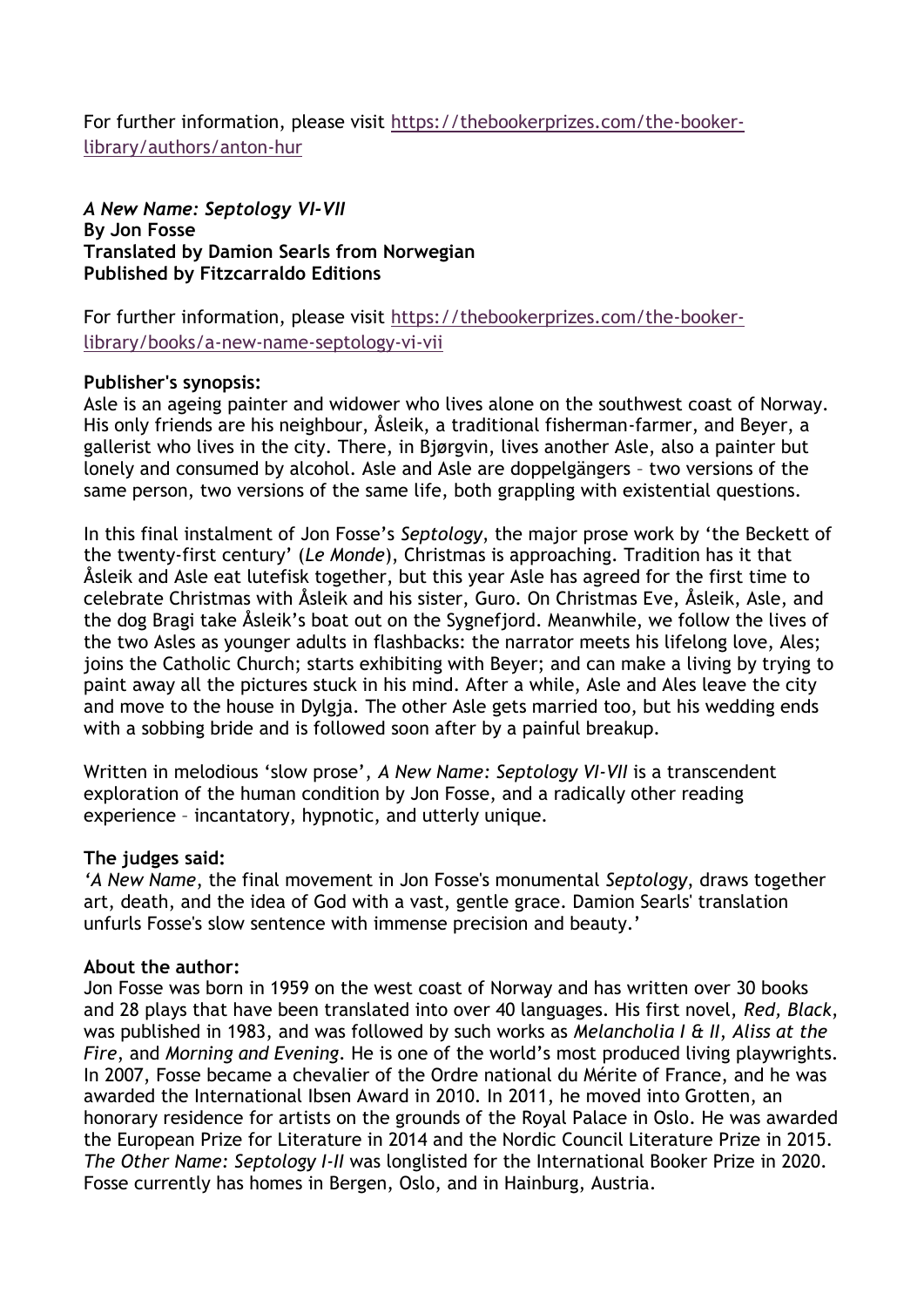For further information, please visit [https://thebookerprizes.com/the-booker](https://thebookerprizes.com/the-booker-library/authors/anton-hur)[library/authors/anton-hur](https://thebookerprizes.com/the-booker-library/authors/anton-hur)

*A New Name: Septology VI-VII*  **By Jon Fosse Translated by Damion Searls from Norwegian Published by Fitzcarraldo Editions**

For further information, please visit [https://thebookerprizes.com/the-booker](https://thebookerprizes.com/the-booker-library/books/a-new-name-septology-vi-vii)[library/books/a-new-name-septology-vi-vii](https://thebookerprizes.com/the-booker-library/books/a-new-name-septology-vi-vii)

# **Publisher's synopsis:**

Asle is an ageing painter and widower who lives alone on the southwest coast of Norway. His only friends are his neighbour, Åsleik, a traditional fisherman-farmer, and Beyer, a gallerist who lives in the city. There, in Bjørgvin, lives another Asle, also a painter but lonely and consumed by alcohol. Asle and Asle are doppelgängers – two versions of the same person, two versions of the same life, both grappling with existential questions.

In this final instalment of Jon Fosse's *Septology*, the major prose work by 'the Beckett of the twenty-first century' (*Le Monde*), Christmas is approaching. Tradition has it that Åsleik and Asle eat lutefisk together, but this year Asle has agreed for the first time to celebrate Christmas with Åsleik and his sister, Guro. On Christmas Eve, Åsleik, Asle, and the dog Bragi take Åsleik's boat out on the Sygnefjord. Meanwhile, we follow the lives of the two Asles as younger adults in flashbacks: the narrator meets his lifelong love, Ales; joins the Catholic Church; starts exhibiting with Beyer; and can make a living by trying to paint away all the pictures stuck in his mind. After a while, Asle and Ales leave the city and move to the house in Dylgja. The other Asle gets married too, but his wedding ends with a sobbing bride and is followed soon after by a painful breakup.

Written in melodious 'slow prose', *A New Name: Septology VI-VII* is a transcendent exploration of the human condition by Jon Fosse, and a radically other reading experience – incantatory, hypnotic, and utterly unique.

# **The judges said:**

*'A New Name*, the final movement in Jon Fosse's monumental *Septology*, draws together art, death, and the idea of God with a vast, gentle grace. Damion Searls' translation unfurls Fosse's slow sentence with immense precision and beauty.'

# **About the author:**

Jon Fosse was born in 1959 on the west coast of Norway and has written over 30 books and 28 plays that have been translated into over 40 languages. His first novel, *Red, Black*, was published in 1983, and was followed by such works as *Melancholia I & II*, *Aliss at the Fire*, and *Morning and Evening*. He is one of the world's most produced living playwrights. In 2007, Fosse became a chevalier of the Ordre national du Mérite of France, and he was awarded the International Ibsen Award in 2010. In 2011, he moved into Grotten, an honorary residence for artists on the grounds of the Royal Palace in Oslo. He was awarded the European Prize for Literature in 2014 and the Nordic Council Literature Prize in 2015. *The Other Name: Septology I-II* was longlisted for the International Booker Prize in 2020. Fosse currently has homes in Bergen, Oslo, and in Hainburg, Austria.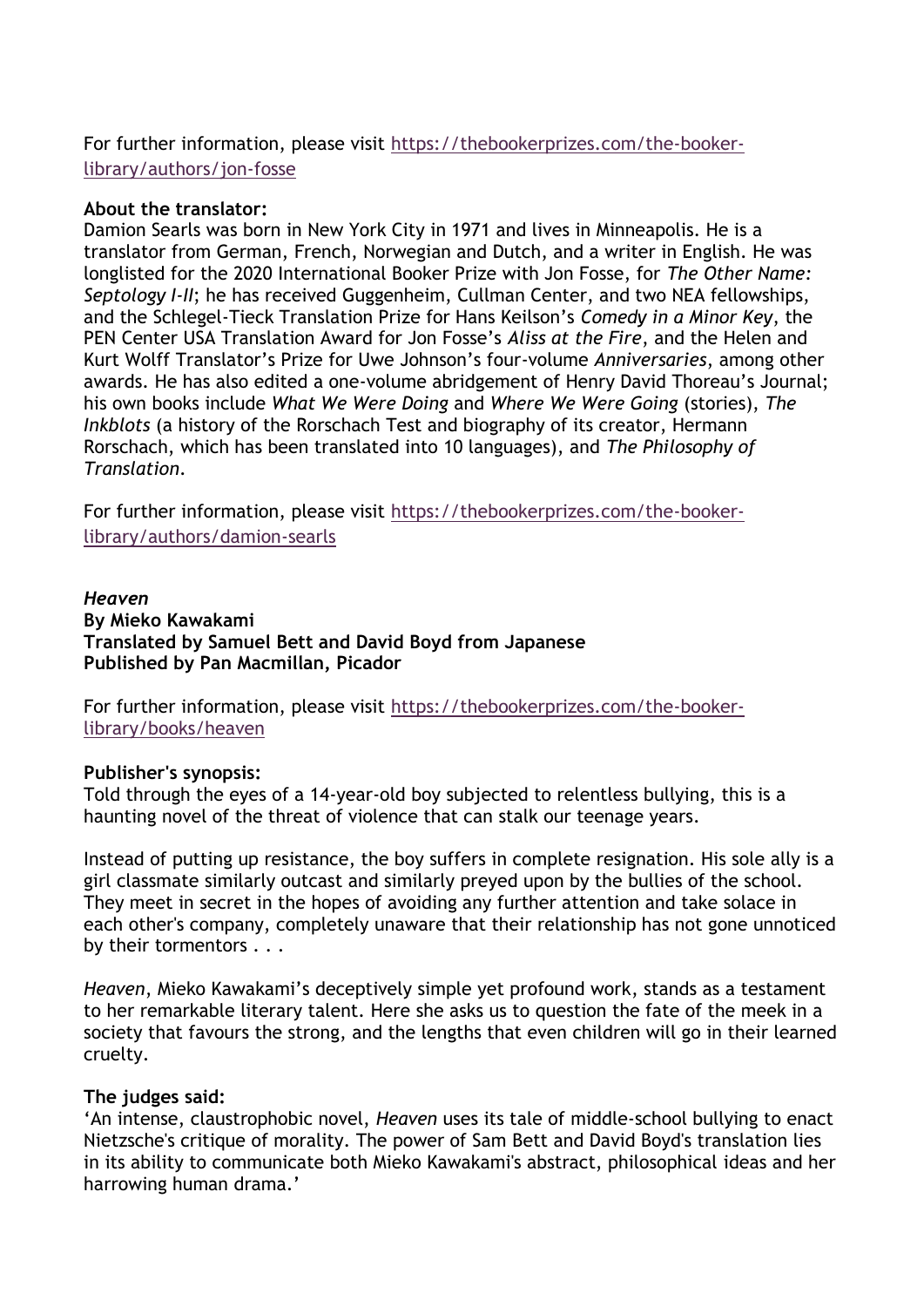# For further information, please visit [https://thebookerprizes.com/the-booker](https://thebookerprizes.com/the-booker-library/authors/jon-fosse)[library/authors/jon-fosse](https://thebookerprizes.com/the-booker-library/authors/jon-fosse)

# **About the translator:**

Damion Searls was born in New York City in 1971 and lives in Minneapolis. He is a translator from German, French, Norwegian and Dutch, and a writer in English. He was longlisted for the 2020 International Booker Prize with Jon Fosse, for *The Other Name: Septology I-II*; he has received Guggenheim, Cullman Center, and two NEA fellowships, and the Schlegel-Tieck Translation Prize for Hans Keilson's *Comedy in a Minor Key*, the PEN Center USA Translation Award for Jon Fosse's *Aliss at the Fire*, and the Helen and Kurt Wolff Translator's Prize for Uwe Johnson's four-volume *Anniversaries*, among other awards. He has also edited a one-volume abridgement of Henry David Thoreau's Journal; his own books include *What We Were Doing* and *Where We Were Going* (stories), *The Inkblots* (a history of the Rorschach Test and biography of its creator, Hermann Rorschach, which has been translated into 10 languages), and *The Philosophy of Translation*.

For further information, please visit [https://thebookerprizes.com/the-booker](https://thebookerprizes.com/the-booker-library/authors/damion-searls)[library/authors/damion-searls](https://thebookerprizes.com/the-booker-library/authors/damion-searls)

### *Heaven* **By Mieko Kawakami Translated by Samuel Bett and David Boyd from Japanese Published by Pan Macmillan, Picador**

For further information, please visit [https://thebookerprizes.com/the-booker](https://thebookerprizes.com/the-booker-library/books/heaven)[library/books/heaven](https://thebookerprizes.com/the-booker-library/books/heaven)

# **Publisher's synopsis:**

Told through the eyes of a 14-year-old boy subjected to relentless bullying, this is a haunting novel of the threat of violence that can stalk our teenage years.

Instead of putting up resistance, the boy suffers in complete resignation. His sole ally is a girl classmate similarly outcast and similarly preyed upon by the bullies of the school. They meet in secret in the hopes of avoiding any further attention and take solace in each other's company, completely unaware that their relationship has not gone unnoticed by their tormentors . . .

*Heaven*, Mieko Kawakami's deceptively simple yet profound work, stands as a testament to her remarkable literary talent. Here she asks us to question the fate of the meek in a society that favours the strong, and the lengths that even children will go in their learned cruelty.

#### **The judges said:**

'An intense, claustrophobic novel, *Heaven* uses its tale of middle-school bullying to enact Nietzsche's critique of morality. The power of Sam Bett and David Boyd's translation lies in its ability to communicate both Mieko Kawakami's abstract, philosophical ideas and her harrowing human drama.'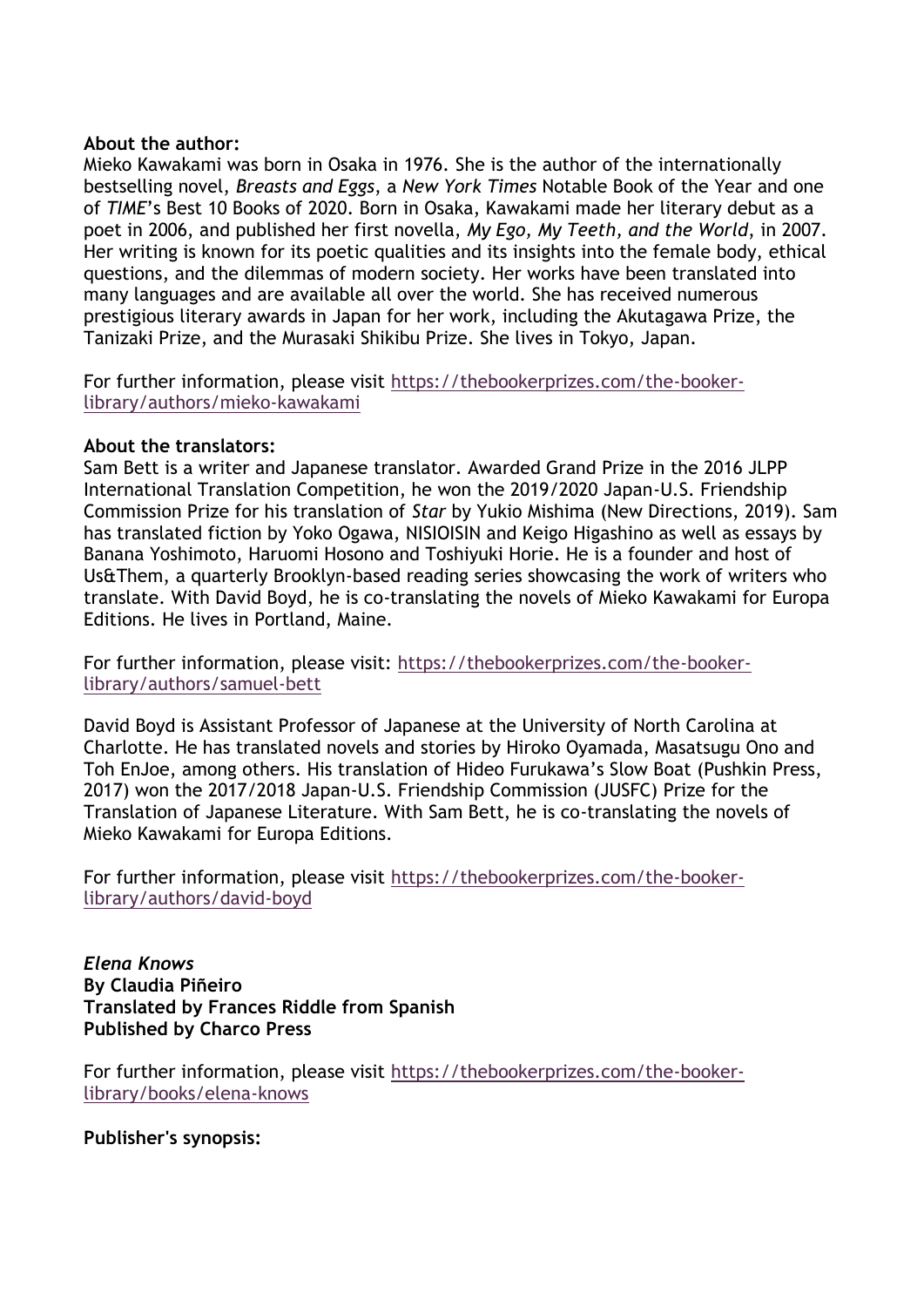#### **About the author:**

Mieko Kawakami was born in Osaka in 1976. She is the author of the internationally bestselling novel, *Breasts and Eggs*, a *New York Times* Notable Book of the Year and one of *TIME*'s Best 10 Books of 2020. Born in Osaka, Kawakami made her literary debut as a poet in 2006, and published her first novella, *My Ego, My Teeth, and the World*, in 2007. Her writing is known for its poetic qualities and its insights into the female body, ethical questions, and the dilemmas of modern society. Her works have been translated into many languages and are available all over the world. She has received numerous prestigious literary awards in Japan for her work, including the Akutagawa Prize, the Tanizaki Prize, and the Murasaki Shikibu Prize. She lives in Tokyo, Japan.

For further information, please visit [https://thebookerprizes.com/the-booker](https://thebookerprizes.com/the-booker-library/authors/mieko-kawakami)[library/authors/mieko-kawakami](https://thebookerprizes.com/the-booker-library/authors/mieko-kawakami)

#### **About the translators:**

Sam Bett is a writer and Japanese translator. Awarded Grand Prize in the 2016 JLPP International Translation Competition, he won the 2019/2020 Japan-U.S. Friendship Commission Prize for his translation of *Star* by Yukio Mishima (New Directions, 2019). Sam has translated fiction by Yoko Ogawa, NISIOISIN and Keigo Higashino as well as essays by Banana Yoshimoto, Haruomi Hosono and Toshiyuki Horie. He is a founder and host of Us&Them, a quarterly Brooklyn-based reading series showcasing the work of writers who translate. With David Boyd, he is co-translating the novels of Mieko Kawakami for Europa Editions. He lives in Portland, Maine.

For further information, please visit: [https://thebookerprizes.com/the-booker](https://thebookerprizes.com/the-booker-library/authors/samuel-bett)[library/authors/samuel-bett](https://thebookerprizes.com/the-booker-library/authors/samuel-bett)

David Boyd is Assistant Professor of Japanese at the University of North Carolina at Charlotte. He has translated novels and stories by Hiroko Oyamada, Masatsugu Ono and Toh EnJoe, among others. His translation of Hideo Furukawa's Slow Boat (Pushkin Press, 2017) won the 2017/2018 Japan-U.S. Friendship Commission (JUSFC) Prize for the Translation of Japanese Literature. With Sam Bett, he is co-translating the novels of Mieko Kawakami for Europa Editions.

For further information, please visit [https://thebookerprizes.com/the-booker](https://thebookerprizes.com/the-booker-library/authors/david-boyd)[library/authors/david-boyd](https://thebookerprizes.com/the-booker-library/authors/david-boyd)

*Elena Knows* **By Claudia Piñeiro Translated by Frances Riddle from Spanish Published by Charco Press**

For further information, please visit [https://thebookerprizes.com/the-booker](https://thebookerprizes.com/the-booker-library/books/elena-knows)[library/books/elena-knows](https://thebookerprizes.com/the-booker-library/books/elena-knows)

**Publisher's synopsis:**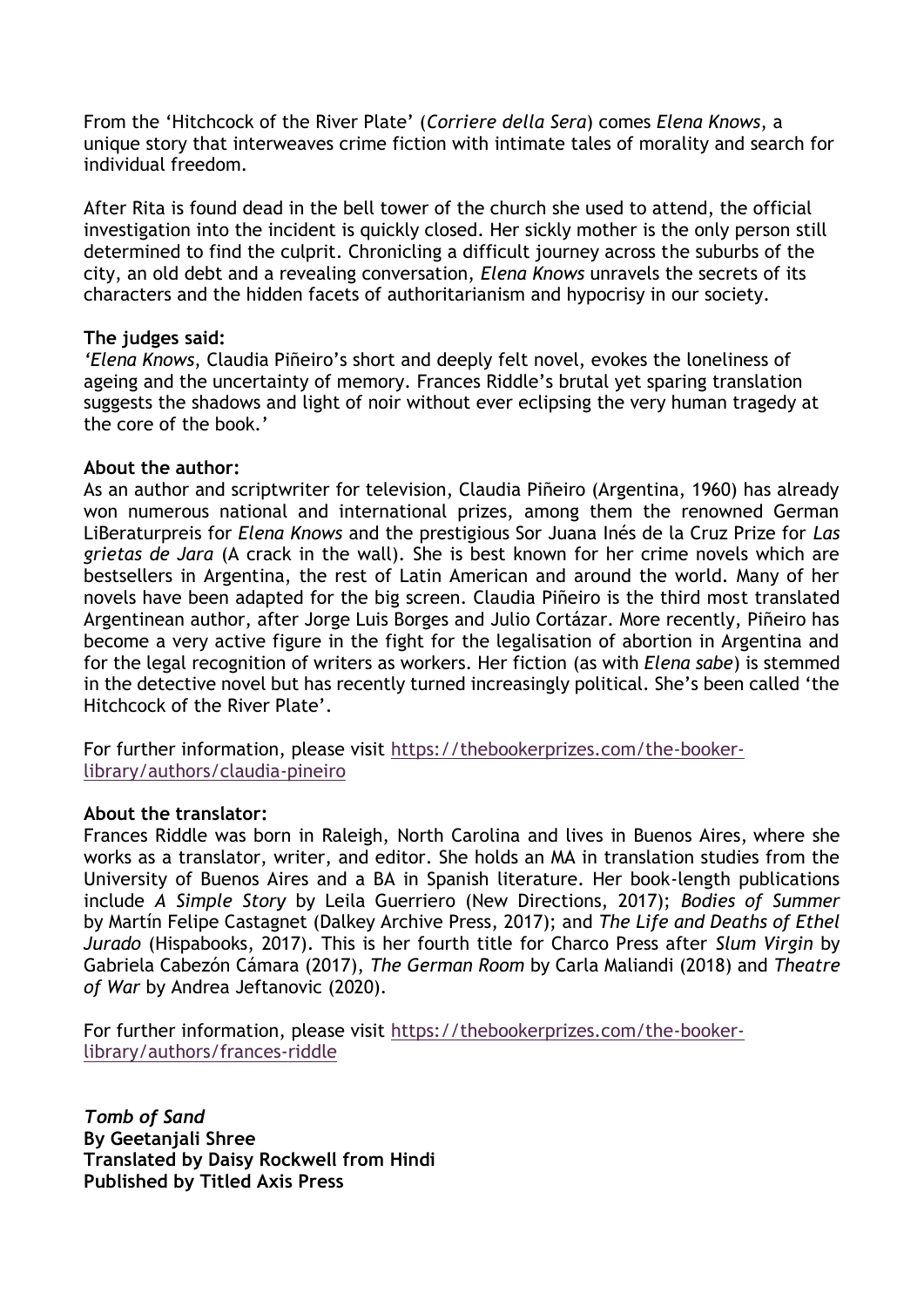From the 'Hitchcock of the River Plate' (*Corriere della Sera*) comes *Elena Knows*, a unique story that interweaves crime fiction with intimate tales of morality and search for individual freedom.

After Rita is found dead in the bell tower of the church she used to attend, the official investigation into the incident is quickly closed. Her sickly mother is the only person still determined to find the culprit. Chronicling a difficult journey across the suburbs of the city, an old debt and a revealing conversation, *Elena Knows* unravels the secrets of its characters and the hidden facets of authoritarianism and hypocrisy in our society.

#### **The judges said:**

*'Elena Knows*, Claudia Piñeiro's short and deeply felt novel, evokes the loneliness of ageing and the uncertainty of memory. Frances Riddle's brutal yet sparing translation suggests the shadows and light of noir without ever eclipsing the very human tragedy at the core of the book.'

#### **About the author:**

As an author and scriptwriter for television, Claudia Piñeiro (Argentina, 1960) has already won numerous national and international prizes, among them the renowned German LiBeraturpreis for *Elena Knows* and the prestigious Sor Juana Inés de la Cruz Prize for *Las grietas de Jara* (A crack in the wall). She is best known for her crime novels which are bestsellers in Argentina, the rest of Latin American and around the world. Many of her novels have been adapted for the big screen. Claudia Piñeiro is the third most translated Argentinean author, after Jorge Luis Borges and Julio Cortázar. More recently, Piñeiro has become a very active figure in the fight for the legalisation of abortion in Argentina and for the legal recognition of writers as workers. Her fiction (as with *Elena sabe*) is stemmed in the detective novel but has recently turned increasingly political. She's been called 'the Hitchcock of the River Plate'.

For further information, please visit [https://thebookerprizes.com/the-booker](https://thebookerprizes.com/the-booker-library/authors/claudia-pineiro)[library/authors/claudia-pineiro](https://thebookerprizes.com/the-booker-library/authors/claudia-pineiro) 

#### **About the translator:**

Frances Riddle was born in Raleigh, North Carolina and lives in Buenos Aires, where she works as a translator, writer, and editor. She holds an MA in translation studies from the University of Buenos Aires and a BA in Spanish literature. Her book-length publications include *A Simple Story* by Leila Guerriero (New Directions, 2017); *Bodies of Summer* by Martín Felipe Castagnet (Dalkey Archive Press, 2017); and *The Life and Deaths of Ethel Jurado* (Hispabooks, 2017). This is her fourth title for Charco Press after *Slum Virgin* by Gabriela Cabezón Cámara (2017), *The German Room* by Carla Maliandi (2018) and *Theatre of War* by Andrea Jeftanovic (2020).

For further information, please visit [https://thebookerprizes.com/the-booker](https://thebookerprizes.com/the-booker-library/authors/frances-riddle)[library/authors/frances-riddle](https://thebookerprizes.com/the-booker-library/authors/frances-riddle)

*Tomb of Sand* **By Geetanjali Shree Translated by Daisy Rockwell from Hindi Published by Titled Axis Press**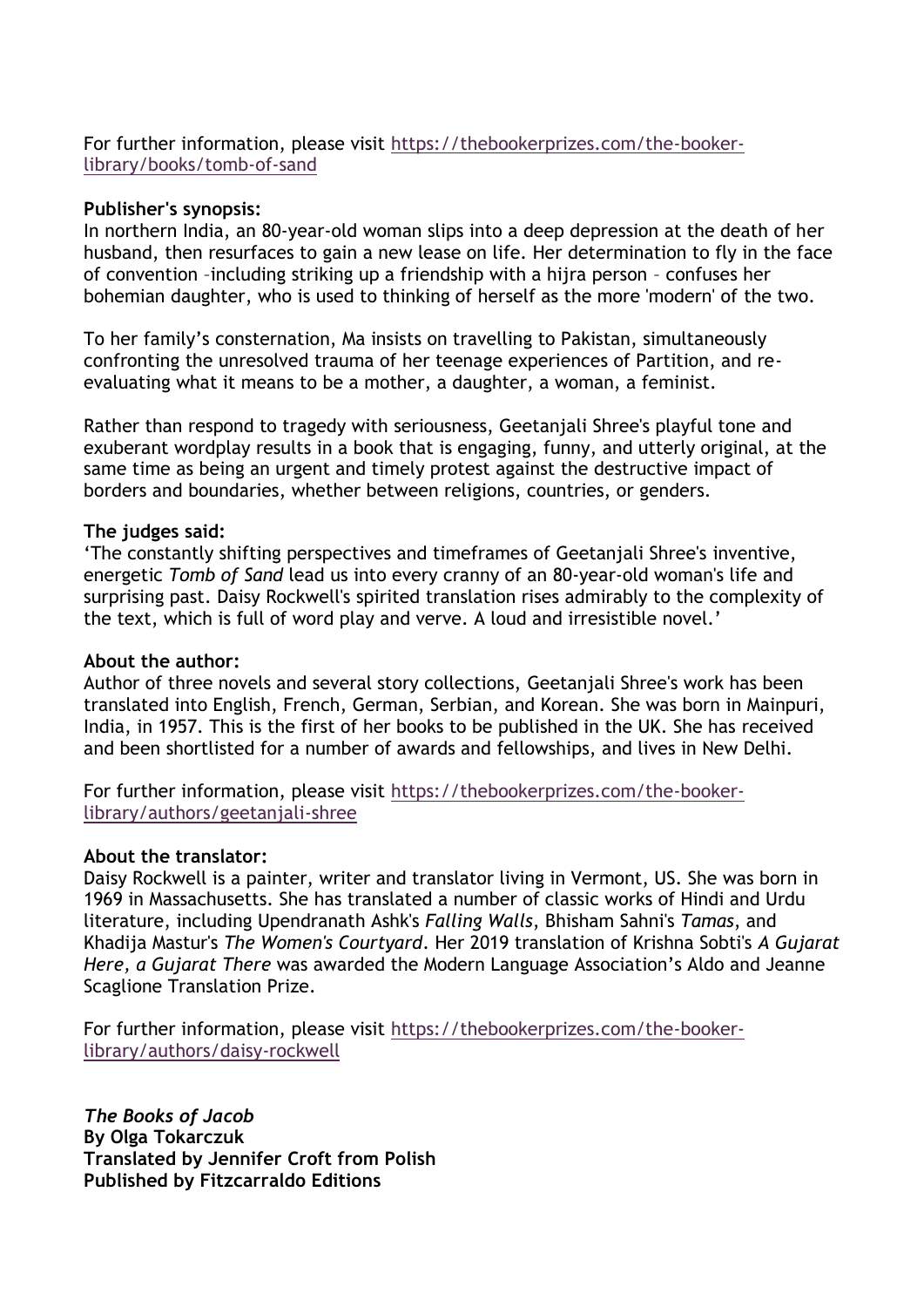For further information, please visit [https://thebookerprizes.com/the-booker](https://thebookerprizes.com/the-booker-library/books/tomb-of-sand)[library/books/tomb-of-sand](https://thebookerprizes.com/the-booker-library/books/tomb-of-sand)

#### **Publisher's synopsis:**

In northern India, an 80-year-old woman slips into a deep depression at the death of her husband, then resurfaces to gain a new lease on life. Her determination to fly in the face of convention –including striking up a friendship with a hijra person – confuses her bohemian daughter, who is used to thinking of herself as the more 'modern' of the two.

To her family's consternation, Ma insists on travelling to Pakistan, simultaneously confronting the unresolved trauma of her teenage experiences of Partition, and reevaluating what it means to be a mother, a daughter, a woman, a feminist.

Rather than respond to tragedy with seriousness, Geetanjali Shree's playful tone and exuberant wordplay results in a book that is engaging, funny, and utterly original, at the same time as being an urgent and timely protest against the destructive impact of borders and boundaries, whether between religions, countries, or genders.

# **The judges said:**

'The constantly shifting perspectives and timeframes of Geetanjali Shree's inventive, energetic *Tomb of Sand* lead us into every cranny of an 80-year-old woman's life and surprising past. Daisy Rockwell's spirited translation rises admirably to the complexity of the text, which is full of word play and verve. A loud and irresistible novel.'

#### **About the author:**

Author of three novels and several story collections, Geetanjali Shree's work has been translated into English, French, German, Serbian, and Korean. She was born in Mainpuri, India, in 1957. This is the first of her books to be published in the UK. She has received and been shortlisted for a number of awards and fellowships, and lives in New Delhi.

For further information, please visit [https://thebookerprizes.com/the-booker](https://thebookerprizes.com/the-booker-library/authors/geetanjali-shree)[library/authors/geetanjali-shree](https://thebookerprizes.com/the-booker-library/authors/geetanjali-shree)

#### **About the translator:**

Daisy Rockwell is a painter, writer and translator living in Vermont, US. She was born in 1969 in Massachusetts. She has translated a number of classic works of Hindi and Urdu literature, including Upendranath Ashk's *Falling Walls*, Bhisham Sahni's *Tamas*, and Khadija Mastur's *The Women's Courtyard*. Her 2019 translation of Krishna Sobti's *A Gujarat Here, a Gujarat There* was awarded the Modern Language Association's Aldo and Jeanne Scaglione Translation Prize.

For further information, please visit [https://thebookerprizes.com/the-booker](https://thebookerprizes.com/the-booker-library/authors/daisy-rockwell)[library/authors/daisy-rockwell](https://thebookerprizes.com/the-booker-library/authors/daisy-rockwell)

*The Books of Jacob* **By Olga Tokarczuk Translated by Jennifer Croft from Polish Published by Fitzcarraldo Editions**